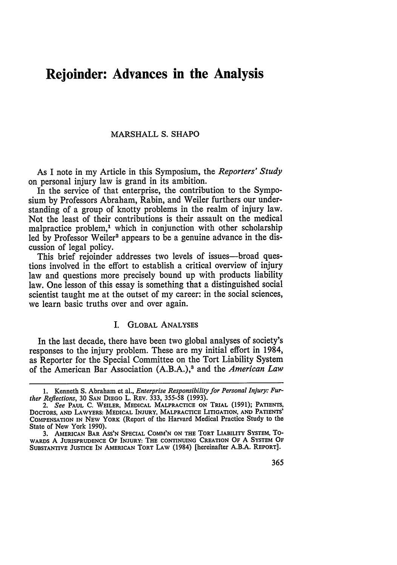# **Rejoinder: Advances in the Analysis**

### MARSHALL **S. SHAPO**

As I note in my Article in this Symposium, the *Reporters' Study* on personal injury law is grand in its ambition.

In the service of that enterprise, the contribution to the Symposium **by** Professors Abraham, Rabin, and Weiler furthers our understanding of a group of knotty problems in the realm of injury law. Not the least of their contributions is their assault on the medical malpractice problem,<sup>1</sup> which in conjunction with other scholarship led by Professor Weiler<sup>2</sup> appears to be a genuine advance in the discussion of legal policy.

This brief rejoinder addresses two levels of issues-broad questions involved in the effort to establish a critical overview of injury law and questions more precisely bound up with products liability law. One lesson of this essay is something that a distinguished social scientist taught me at the outset of my career: in the social sciences, we learn basic truths over and over again.

#### I. GLOBAL ANALYSES

In the last decade, there have been two global analyses of society's responses to the injury problem. These are my initial effort in 1984, as Reporter for the Special Committee on the Tort Liability System of the American Bar Association (A.B.A.),3 and the *American Law*

**<sup>1.</sup>** Kenneth **S.** Abraham et al., *Enterprise Responsibility for Personal Injury: Further Reflections,* **30 SAN DIEGO** L. REv. **333,** 355-58 **(1993).**

*<sup>2.</sup> See* **PAUL** C. WEILER, **MEDICAL MALPRACTICE ON TRIAL** (1991); **PATIENTS,** DOCTORS, **AND** LAWYERS: **MEDICAL** INJURY, MALPRACTICE LITIGATION, **AND PATIENTS' COMPENSATION** IN **NEW** YORK (Report of the Harvard Medical Practice Study to **the** State of New York 1990).

**<sup>3.</sup> AMERICAN BAR ASS'N SPECIAL COMM'N ON THE TORT LIABILITY SYSTEM, To-**WARDS A **JURISPRUDENCE OF INJURY:** THE **CONTINUING** CREATION OF **A SYSTEM OF SUBSTANTIVE JUSTICE IN AMERICAN** TORT LAW (1984) [hereinafter A.B.A. REPORT].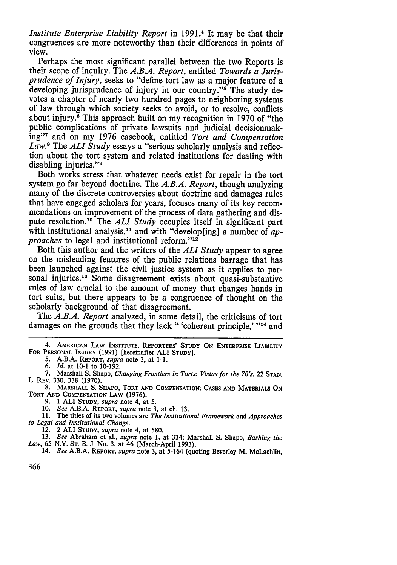*Institute Enterprise Liability Report* in 1991.<sup>4</sup> It may be that their congruences are more noteworthy than their differences in points of view.

Perhaps the most significant parallel between the two Reports is their scope of inquiry. The *A.B.A. Report,* entitled *Towards a Jurisprudence of Injury,* seeks to "define tort law as a major feature of a developing jurisprudence of injury in our country."<sup>5</sup> The study devotes a chapter of nearly two hundred pages to neighboring systems of law through which society seeks to avoid, or to resolve, conflicts about injury.6 This approach built on my recognition in 1970 of "the public complications of private lawsuits and judicial decisionmaking" and on my 1976 casebook, entitled *Tort and Compensation Law."* The **ALI** *Study* essays a "serious scholarly analysis and reflection about the tort system and related institutions for dealing with disabling injuries."<sup>9</sup>

Both works stress that whatever needs exist for repair in the tort system go far beyond doctrine. The *A.B.A. Report,* though analyzing many of the discrete controversies about doctrine and damages rules that have engaged scholars for years, focuses many of its key recommendations on improvement of the process of data gathering and dis-<br>pute resolution.<sup>10</sup> The *ALI Study* occupies itself in significant part with institutional analysis,<sup>11</sup> and with "develop[ing] a number of *approaches* to legal and institutional reform."<sup>12</sup>

Both this author and the writers of the **ALI** *Study* appear to agree on the misleading features of the public relations barrage that has been launched against the civil justice system as it applies to per-<br>sonal injuries.<sup>13</sup> Some disagreement exists about quasi-substantive<br>rules of law crucial to the amount of money that changes hands in tort suits, but there appears to be a congruence of thought on the

The *A.B.A. Report* analyzed, in some detail, the criticisms of tort damages on the grounds that they lack "'coherent principle,' **114** and

12. 2 **ALI STUDY,** *supra* note 4, at 580.

13. *See* Abraham et al., *supra* note 1, at 334; Marshall S. Shapo, *Bashing the Law,* 65 N.Y. ST. B. J. No. 3, at 46 (March-April 1993). 14. *See* A.B.A. REPORT, *supra* note 3, at 5-164 (quoting Beverley M. McLachlin,

<sup>4.</sup> **AMERICAN LAW INSTITUTE, REPORTERS' STUDY ON ENTERPRISE LIABILITY FOR PERSONAL** INJURY **(1991) [hereinafter ALI STUDY].**

**<sup>5.</sup> A.B.A. REPORT,** *supra* **note 3, at 1-1.**

*<sup>6.</sup> Id.* at **10-1** to **10-192.**

**<sup>7.</sup>** Marshall **S. Shapo,** *Changing Frontiers in Torts: Vistas for the 70's,* 22 **STAN.** L. **REv. 330, 338 (1970).**

**<sup>8.</sup> MARSHALL S. SHAPO, TORT AND COMPENSATION: CASES AND MATERIALS ON TORT AND COMPENSATION LAW (1976).**

**<sup>9. 1</sup> ALI STUDY,** *supra* **note** 4, **at 5.**

**<sup>10.</sup>** *See* **A.B.A. REPORT,** *supra* **note 3, at ch. 13.**

**<sup>11.</sup> The titles of its two volumes are** *The Institutional Framework* **and** *Approaches to Legal and Institutional Change.*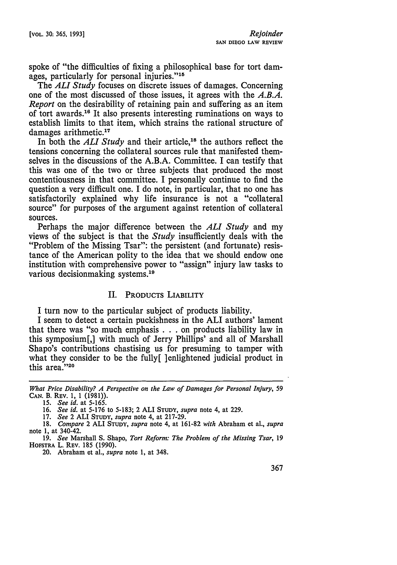spoke of "the difficulties of fixing a philosophical base for tort damages, particularly for personal injuries."<sup>15</sup>

The *ALl Study* focuses on discrete issues of damages. Concerning one of the most discussed of those issues, it agrees with the *A.B.A. Report* on the desirability of retaining pain and suffering as an item of tort awards.16 It also presents interesting ruminations on ways to establish limits to that item, which strains the rational structure of damages arithmetic.<sup>17</sup>

In both the *ALI Study* and their article,<sup>18</sup> the authors reflect the tensions concerning the collateral sources rule that manifested themselves in the discussions of the A.B.A. Committee. I can testify that this was one of the two or three subjects that produced the most contentiousness in that committee. I personally continue to find the question a very difficult one. I do note, in particular, that no one has satisfactorily explained why life insurance is not a "collateral source" for purposes of the argument against retention of collateral sources.

Perhaps the major difference between the *ALl Study* and my views of the subject is that the *Study* insufficiently deals with the "Problem of the Missing Tsar": the persistent (and fortunate) resistance of the American polity to the idea that we should endow one institution with comprehensive power to "assign" injury law tasks to various decisionmaking systems.<sup>19</sup>

## II. PRODUCTS LIABILITY

I turn now to the particular subject of products liability.

I seem to detect a certain puckishness in the ALI authors' lament that there was "so much emphasis **. . .** on products liability law in this symposium[,] with much of Jerry Phillips' and all of Marshall Shapo's contributions chastising us for presuming to tamper with what they consider to be the fully[ ]enlightened judicial product in this area."20

17. *See* 2 **ALI STUDY,** *supra* note 4, at 217-29.

*What Price Disability? A Perspective on the Law of Damages for Personal Injury,* 59 CAN. B. REV. 1, 1 (1981)).

<sup>15.</sup> *See id.* at 5-165.

<sup>16.</sup> *See id.* at 5-176 to 5-183; 2 **ALI STUDY,** *supra* note 4, at 229.

<sup>18.</sup> *Compare* 2 **ALI STUDY,** *supra* note 4, at 161-82 *with* Abraham et al., *supra* note 1, at 340-42.

<sup>19.</sup> *See* Marshall S. Shapo, *Tort Reform: The Problem of the Missing Tsar,* 19 **HOFSTRA** L. REV. 185 (1990).

<sup>20.</sup> Abraham et al., *supra* note 1, at 348.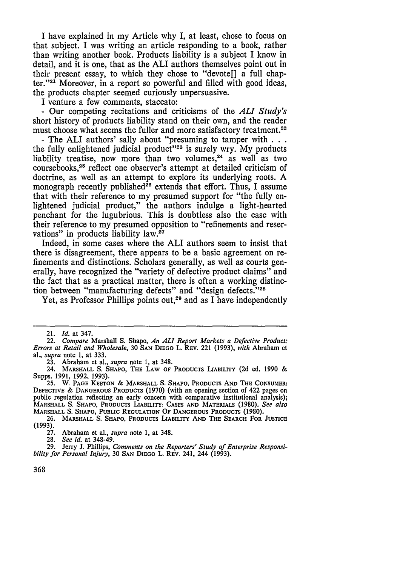I have explained in my Article why I, at least, chose to focus on that subject. I was writing an article responding to a book, rather than writing another book. Products liability is a subject I know in detail, and it is one, that as the ALI authors themselves point out in their present essay, to which they chose to "devote[] a full chapter." $2<sup>1</sup>$  Moreover, in a report so powerful and filled with good ideas, the products chapter seemed curiously unpersuasive.

I venture a few comments, staccato: - Our competing recitations and criticisms of the *ALl Study's* short history of products liability stand on their own, and the reader must choose what seems the fuller and more satisfactory treatment.<sup>22</sup> - The ALI authors' sally about "presuming to tamper with . . .

the fully enlightened judicial product<sup>323</sup> is surely wry. My products liability treatise, now more than two volumes,<sup>24</sup> as well as two coursebooks,25 reflect one observer's attempt at detailed criticism of doctrine, as well as an attempt to explore its underlying roots. A monograph recently published<sup>26</sup> extends that effort. Thus, I assume that with their reference to my presumed support for "the fully enlightened judicial product," the authors indulge a light-hearted penchant for the lugubrious. This is doubtless also the case with their reference to my presumed opposition to "refinements and reservations" in products liability law.<sup>27</sup>

Indeed, in some cases where the **ALI** authors seem to insist that there is disagreement, there appears to be a basic agreement on refinements and distinctions. Scholars generally, as well as courts generally, have recognized the "variety of defective product claims" and the fact that as a practical matter, there is often a working distinction between "manufacturing defects" and "design defects."28

Yet, as Professor Phillips points out,<sup>29</sup> and as I have independently

<sup>21.</sup> *Id.* at 347.

<sup>22.</sup> *Compare* Marshall S. Shapo, *An ALl Report Markets a Defective Product: Errors at Retail and Wholesale,* 30 **SAN** DIEGO L. REV. 221 (1993), *with* Abraham et al., *supra* note 1, at 333.

<sup>23.</sup> Abraham et al., *supra* note **1,** at 348.

<sup>24.</sup> **MARSHALL S. SHAPO, THE LAW** OF **PRODUCTS LIABILITY (2d** ed. **1990** & Supps. **1991, 1992, 1993).**

**<sup>25.</sup>** W. **PAGE KEETON** & MARSHALL **S.** SHAPO, PRODUCTS **AND THE CONSUMER: DEFECTIVE** & **DANGEROUS PRODUCTS** (1970) (with an opening section of 422 pages on public regulation reflecting an early concern with comparative institutional analysis); **MARSHALL** S. **SHAPO,** PRODUCTS LIABILITY: **CASES AND MATERIALS** (1980). *See also* MARSHALL S. **SHAPO, PUBLIC** REGULATION **OF DANGEROUS PRODUCTS** (1980).

**<sup>26.</sup>** MARSHALL **S. SHAPO,** PRODUCTS **LIABILITY AND THE** SEARCH **FOR JUSTICE (1993).**

<sup>27.</sup> Abraham et al., *supra* note 1, at 348.

<sup>28.</sup> *See id.* at 348-49.

<sup>29.</sup> Jerry J. Phillips, *Comments on the Reporters' Study of Enterprise Responsibility for Personal Injury,* 30 **SAN DIEGO** L. REv. 241, 244 (1993).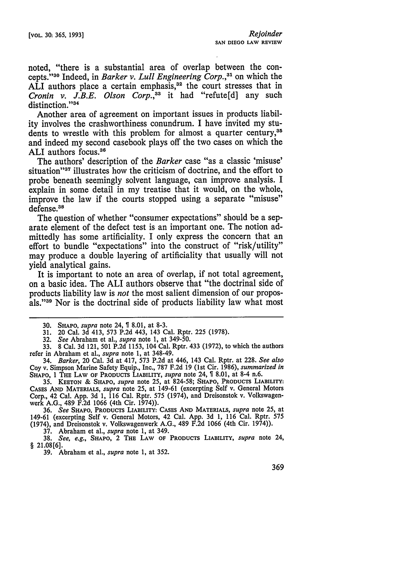noted, "there is a substantial area of overlap between the concepts."<sup>30</sup> Indeed, in *Barker v. Lull Engineering Corp.*,<sup>31</sup> on which the ALI authors place a certain emphasis,<sup>32</sup> the court stresses that in *Cronin v. J.B.E. Olson Corp.,33* it had "refute[d] any such distinction."34

Another area of agreement on important issues in products liability involves the crashworthiness conundrum. I have invited my students to wrestle with this problem for almost a quarter century,<sup>35</sup> and indeed my second casebook plays off the two cases on which the ALI authors focus.36

The authors' description of the *Barker* case "as a classic 'misuse' situation"<sup>37</sup> illustrates how the criticism of doctrine, and the effort to probe beneath seemingly solvent language, can improve analysis. I explain in some detail in my treatise that it would, on the whole, improve the law if the courts stopped using a separate "misuse" defense.<sup>38</sup>

The question of whether "consumer expectations" should be a separate element of the defect test is an important one. The notion admittedly has some artificiality. I only express the concern that an effort to bundle "expectations" into the construct of "risk/utility" may produce a double layering of artificiality that usually will not yield analytical gains.

It is important to note an area of overlap, if not total agreement, on a basic idea. The ALI authors observe that "the doctrinal side of products liability law is *not* the most salient dimension of our proposals."39 Nor is the doctrinal side of products liability law what most

32. *See* Abraham et al., *supra* note 1, at 349-50.

33. 8 Cal. 3d 121, 501 P.2d 1153, 104 Cal. Rptr. 433 (1972), to which the authors refer in Abraham et al., *supra* note **1,** at 348-49.

34. *Barker,* 20 Cal. 3d at 417, 573 P.2d at 446, 143 Cal. Rptr. at 228. *See also* Coy v. Simpson Marine Safety Equip., Inc., 787 F.2d 19 (1st Cir. 1986), *summarized in* SHAPO, 1 THE LAW OF PRODUCTS LIABILITY, *supra* note 24, 1 8.01, at 8-4 n.6.

**35. KEETON** & SHAPo, *supra* note 25, at 824-58; **SHAPO,** PRODUCTS LIABILITY: CASES **AND** MATERIALS, *supra* note 25, at 149-61 (excerpting Self **v.** General Motors Corp., 42 Cal. App. 3d 1, 116 Cal. Rptr. **575** (1974), and Dreisonstok **v.** Volkswagenwerk A.G., 489 **F.2d** 1066 (4th Cir. 1974)).

**36.** *See* **SHAPO,** PRODUCTS LIABILITY: **CASES AND** MATERIALS, *supra* note **25,** at 149-61 (excerpting Self v. General Motors, 42 Cal. App. **3d 1,** 116 Cal. Rptr. **575** (1974), and Dreisonstok **v.** Volkswagenwerk A.G., 489 **F.2d** 1066 (4th Cir. 1974)).

**37.** Abraham et al., *supra* note 1, at 349.

**38.** *See, e.g.,* SHAPo, 2 THE **LAW OF PRODUCTS LIABILITY,** *supra* note 24, *§* **21.08[6].**

39. Abraham et al., *supra* note 1, at 352.

**<sup>30.</sup> SHAPO,** *supra* note 24, **1 8.01,** at **8-3.**

<sup>31. 20</sup> Cal. 3d 413, 573 P.2d 443, 143 Cal. Rptr. 225 (1978).